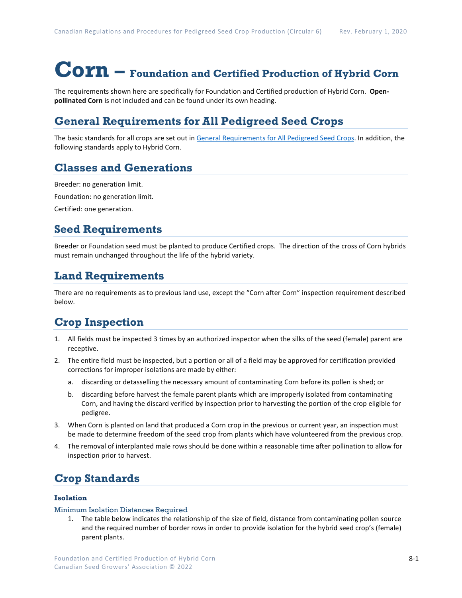# **Corn – Foundation and Certified Production of Hybrid Corn**

The requirements shown here are specifically for Foundation and Certified production of Hybrid Corn. **Openpollinated Corn** is not included and can be found under its own heading.

## **General Requirements for All Pedigreed Seed Crops**

The basic standards for all crops are set out i[n General Requirements for All Pedigreed Seed](https://seedgrowers.ca/wp-content/uploads/2020/01/GENERAL-REQUIREMENTS-ALL-CROPS_EN.pdf) Crops. In addition, the following standards apply to Hybrid Corn.

## **Classes and Generations**

Breeder: no generation limit. Foundation: no generation limit.

Certified: one generation.

### **Seed Requirements**

Breeder or Foundation seed must be planted to produce Certified crops. The direction of the cross of Corn hybrids must remain unchanged throughout the life of the hybrid variety.

## **Land Requirements**

There are no requirements as to previous land use, except the "Corn after Corn" inspection requirement described below.

# **Crop Inspection**

- 1. All fields must be inspected 3 times by an authorized inspector when the silks of the seed (female) parent are receptive.
- 2. The entire field must be inspected, but a portion or all of a field may be approved for certification provided corrections for improper isolations are made by either:
	- a. discarding or detasselling the necessary amount of contaminating Corn before its pollen is shed; or
	- b. discarding before harvest the female parent plants which are improperly isolated from contaminating Corn, and having the discard verified by inspection prior to harvesting the portion of the crop eligible for pedigree.
- 3. When Corn is planted on land that produced a Corn crop in the previous or current year, an inspection must be made to determine freedom of the seed crop from plants which have volunteered from the previous crop.
- 4. The removal of interplanted male rows should be done within a reasonable time after pollination to allow for inspection prior to harvest.

## **Crop Standards**

#### **Isolation**

#### Minimum Isolation Distances Required

1. The table below indicates the relationship of the size of field, distance from contaminating pollen source and the required number of border rows in order to provide isolation for the hybrid seed crop's (female) parent plants.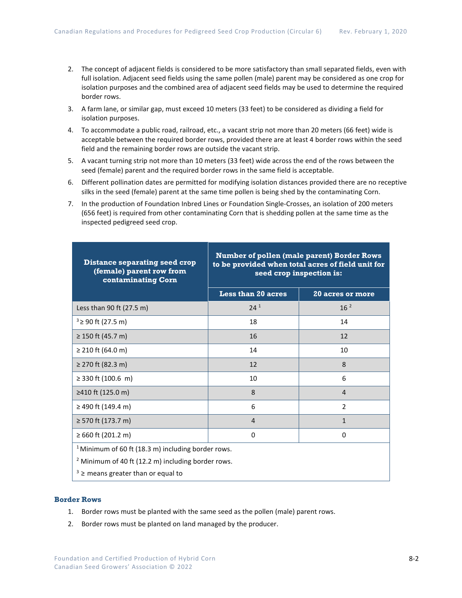- 2. The concept of adjacent fields is considered to be more satisfactory than small separated fields, even with full isolation. Adjacent seed fields using the same pollen (male) parent may be considered as one crop for isolation purposes and the combined area of adjacent seed fields may be used to determine the required border rows.
- 3. A farm lane, or similar gap, must exceed 10 meters (33 feet) to be considered as dividing a field for isolation purposes.
- 4. To accommodate a public road, railroad, etc., a vacant strip not more than 20 meters (66 feet) wide is acceptable between the required border rows, provided there are at least 4 border rows within the seed field and the remaining border rows are outside the vacant strip.
- 5. A vacant turning strip not more than 10 meters (33 feet) wide across the end of the rows between the seed (female) parent and the required border rows in the same field is acceptable.
- 6. Different pollination dates are permitted for modifying isolation distances provided there are no receptive silks in the seed (female) parent at the same time pollen is being shed by the contaminating Corn.
- 7. In the production of Foundation Inbred Lines or Foundation Single-Crosses, an isolation of 200 meters (656 feet) is required from other contaminating Corn that is shedding pollen at the same time as the inspected pedigreed seed crop.

| <b>Distance separating seed crop</b><br>(female) parent row from<br>contaminating Corn | <b>Number of pollen (male parent) Border Rows</b><br>to be provided when total acres of field unit for<br>seed crop inspection is: |                         |
|----------------------------------------------------------------------------------------|------------------------------------------------------------------------------------------------------------------------------------|-------------------------|
|                                                                                        | <b>Less than 20 acres</b>                                                                                                          | <b>20 acres or more</b> |
| Less than 90 ft $(27.5 \text{ m})$                                                     | $24^{1}$                                                                                                                           | 16 <sup>2</sup>         |
| $3 \ge 90$ ft (27.5 m)                                                                 | 18                                                                                                                                 | 14                      |
| $≥ 150$ ft (45.7 m)                                                                    | 16                                                                                                                                 | 12                      |
| $\geq$ 210 ft (64.0 m)                                                                 | 14                                                                                                                                 | 10                      |
| ≥ 270 ft (82.3 m)                                                                      | 12                                                                                                                                 | $\mathbf{8}$            |
| $\geq$ 330 ft (100.6 m)                                                                | 10                                                                                                                                 | 6                       |
| ≥410 ft (125.0 m)                                                                      | 8                                                                                                                                  | $\overline{4}$          |
| ≥ 490 ft (149.4 m)                                                                     | 6                                                                                                                                  | $\mathfrak{D}$          |
| ≥ 570 ft (173.7 m)                                                                     | $\overline{4}$                                                                                                                     | $\mathbf{1}$            |
| ≥ 660 ft (201.2 m)                                                                     | 0                                                                                                                                  | 0                       |
| <sup>1</sup> Minimum of 60 ft (18.3 m) including border rows.                          |                                                                                                                                    |                         |
| <sup>2</sup> Minimum of 40 ft (12.2 m) including border rows.                          |                                                                                                                                    |                         |
| $3 \ge$ means greater than or equal to                                                 |                                                                                                                                    |                         |

#### **Border Rows**

- 1. Border rows must be planted with the same seed as the pollen (male) parent rows.
- 2. Border rows must be planted on land managed by the producer.